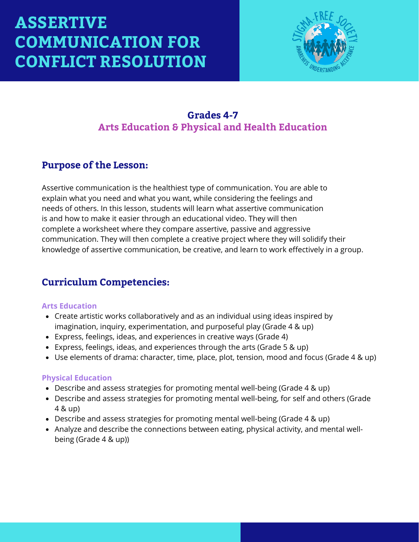

### **Grades 4-7 Arts Education & Physical and Health Education**

### **Purpose of the Lesson:**

Assertive communication is the healthiest type of communication. You are able to explain what you need and what you want, while considering the feelings and needs of others. In this lesson, students will learn what assertive communication is and how to make it easier through an educational video. They will then complete a worksheet where they compare assertive, passive and aggressive communication. They will then complete a creative project where they will solidify their knowledge of assertive communication, be creative, and learn to work effectively in a group.

### **Curriculum Competencies:**

#### **Arts Education**

- Create artistic works collaboratively and as an individual using ideas inspired by imagination, inquiry, experimentation, and purposeful play (Grade 4 & up)
- Express, feelings, ideas, and experiences in creative ways (Grade 4)
- Express, feelings, ideas, and experiences through the arts (Grade 5 & up)
- Use elements of drama: character, time, place, plot, tension, mood and focus (Grade 4 & up)

#### **Physical Education**

- Describe and assess strategies for promoting mental well-being (Grade 4 & up)
- Describe and assess strategies for promoting mental well-being, for self and others (Grade 4 & up)
- Describe and assess strategies for promoting mental well-being (Grade 4 & up)
- Analyze and describe the connections between eating, physical activity, and mental wellbeing (Grade 4 & up))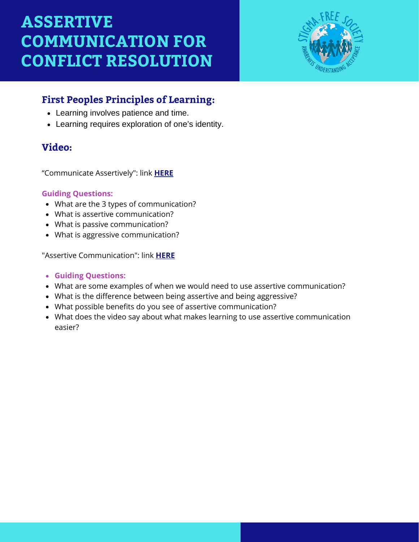

## **First Peoples Principles of Learning:**

- Learning involves patience and time.
- Learning requires exploration of one's identity.

### **Video:**

"Communicate Assertively": link **[HERE](https://www.youtube.com/watch?v=AJ-e5Q4vhsk)**

#### **Guiding Questions:**

- What are the 3 types of communication?
- What is assertive communication?
- What is passive communication?
- What is aggressive communication?

"Assertive Communication": link **[HERE](https://www.youtube.com/watch?v=vlwmfiCb-vc)**

- **Guiding Questions:**
- What are some examples of when we would need to use assertive communication?
- What is the difference between being assertive and being aggressive?
- What possible benefits do you see of assertive communication?
- What does the video say about what makes learning to use assertive communication easier?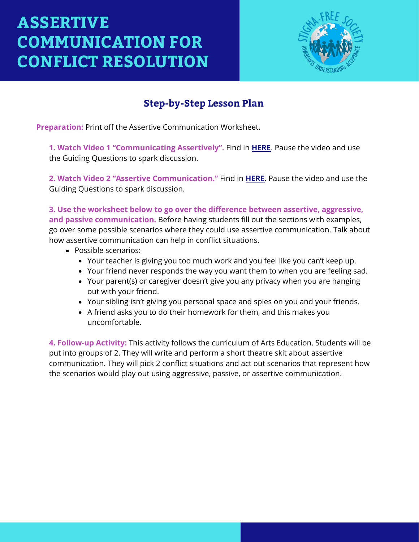

## **Step-by-Step Lesson Plan**

**Preparation:** Print off the Assertive Communication Worksheet.

**1. Watch Video 1 "Communicating Assertively".** Find in **[HERE](https://www.youtube.com/watch?v=AJ-e5Q4vhsk)**. Pause the video and use the Guiding Questions to spark discussion.

**2. Watch Video 2 "Assertive Communication."** Find in **[HERE](https://www.youtube.com/watch?v=vlwmfiCb-vc)**. Pause the video and use the Guiding Questions to spark discussion.

**3. Use the worksheet below to go over the difference between assertive, aggressive, and passive communication.** Before having students fill out the sections with examples, go over some possible scenarios where they could use assertive communication. Talk about how assertive communication can help in conflict situations.

- **Possible scenarios:** 
	- Your teacher is giving you too much work and you feel like you can't keep up.
	- Your friend never responds the way you want them to when you are feeling sad.
	- Your parent(s) or caregiver doesn't give you any privacy when you are hanging out with your friend.
	- Your sibling isn't giving you personal space and spies on you and your friends.
	- A friend asks you to do their homework for them, and this makes you uncomfortable.

**4. Follow-up Activity:** This activity follows the curriculum of Arts Education. Students will be put into groups of 2. They will write and perform a short theatre skit about assertive communication. They will pick 2 conflict situations and act out scenarios that represent how the scenarios would play out using aggressive, passive, or assertive communication.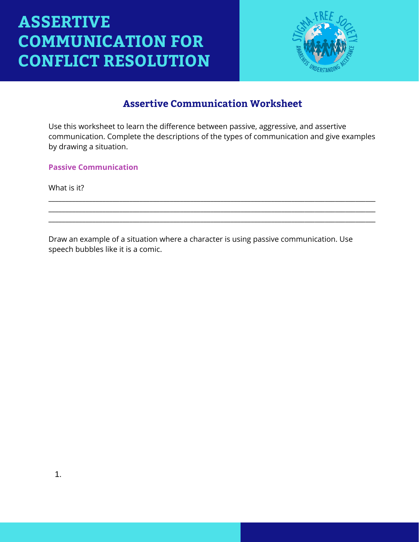

### **Assertive Communication Worksheet**

Use this worksheet to learn the difference between passive, aggressive, and assertive communication. Complete the descriptions of the types of communication and give examples by drawing a situation.

\_\_\_\_\_\_\_\_\_\_\_\_\_\_\_\_\_\_\_\_\_\_\_\_\_\_\_\_\_\_\_\_\_\_\_\_\_\_\_\_\_\_\_\_\_\_\_\_\_\_\_\_\_\_\_\_\_\_\_\_\_\_\_\_\_\_\_\_\_\_\_\_\_\_\_\_\_\_\_\_\_\_\_\_\_\_\_\_\_\_\_\_\_\_\_\_\_ \_\_\_\_\_\_\_\_\_\_\_\_\_\_\_\_\_\_\_\_\_\_\_\_\_\_\_\_\_\_\_\_\_\_\_\_\_\_\_\_\_\_\_\_\_\_\_\_\_\_\_\_\_\_\_\_\_\_\_\_\_\_\_\_\_\_\_\_\_\_\_\_\_\_\_\_\_\_\_\_\_\_\_\_\_\_\_\_\_\_\_\_\_\_\_\_\_ \_\_\_\_\_\_\_\_\_\_\_\_\_\_\_\_\_\_\_\_\_\_\_\_\_\_\_\_\_\_\_\_\_\_\_\_\_\_\_\_\_\_\_\_\_\_\_\_\_\_\_\_\_\_\_\_\_\_\_\_\_\_\_\_\_\_\_\_\_\_\_\_\_\_\_\_\_\_\_\_\_\_\_\_\_\_\_\_\_\_\_\_\_\_\_\_\_

**Passive Communication**

What is it?

Draw an example of a situation where a character is using passive communication. Use speech bubbles like it is a comic.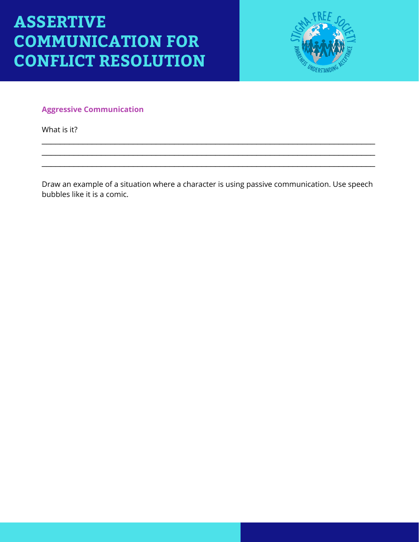

#### **Aggressive Communication**

What is it?

Draw an example of a situation where a character is using passive communication. Use speech bubbles like it is a comic.

\_\_\_\_\_\_\_\_\_\_\_\_\_\_\_\_\_\_\_\_\_\_\_\_\_\_\_\_\_\_\_\_\_\_\_\_\_\_\_\_\_\_\_\_\_\_\_\_\_\_\_\_\_\_\_\_\_\_\_\_\_\_\_\_\_\_\_\_\_\_\_\_\_ \_\_\_\_\_\_\_\_\_\_\_\_\_\_\_\_\_\_\_\_\_\_\_\_\_\_\_\_\_\_\_\_\_\_\_\_\_\_\_\_\_\_\_\_\_\_\_\_\_\_\_\_\_\_\_\_\_\_\_\_\_\_\_\_\_\_\_\_\_\_\_\_\_ \_\_\_\_\_\_\_\_\_\_\_\_\_\_\_\_\_\_\_\_\_\_\_\_\_\_\_\_\_\_\_\_\_\_\_\_\_\_\_\_\_\_\_\_\_\_\_\_\_\_\_\_\_\_\_\_\_\_\_\_\_\_\_\_\_\_\_\_\_\_\_\_\_